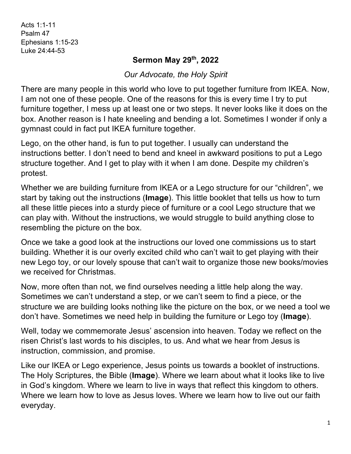Acts 1:1-11 Psalm 47 Ephesians 1:15-23 Luke 24:44-53

## **Sermon May 29th, 2022**

*Our Advocate, the Holy Spirit*

There are many people in this world who love to put together furniture from IKEA. Now, I am not one of these people. One of the reasons for this is every time I try to put furniture together, I mess up at least one or two steps. It never looks like it does on the box. Another reason is I hate kneeling and bending a lot. Sometimes I wonder if only a gymnast could in fact put IKEA furniture together.

Lego, on the other hand, is fun to put together. I usually can understand the instructions better. I don't need to bend and kneel in awkward positions to put a Lego structure together. And I get to play with it when I am done. Despite my children's protest.

Whether we are building furniture from IKEA or a Lego structure for our "children", we start by taking out the instructions (**Image**). This little booklet that tells us how to turn all these little pieces into a sturdy piece of furniture or a cool Lego structure that we can play with. Without the instructions, we would struggle to build anything close to resembling the picture on the box.

Once we take a good look at the instructions our loved one commissions us to start building. Whether it is our overly excited child who can't wait to get playing with their new Lego toy, or our lovely spouse that can't wait to organize those new books/movies we received for Christmas.

Now, more often than not, we find ourselves needing a little help along the way. Sometimes we can't understand a step, or we can't seem to find a piece, or the structure we are building looks nothing like the picture on the box, or we need a tool we don't have. Sometimes we need help in building the furniture or Lego toy (**Image**).

Well, today we commemorate Jesus' ascension into heaven. Today we reflect on the risen Christ's last words to his disciples, to us. And what we hear from Jesus is instruction, commission, and promise.

Like our IKEA or Lego experience, Jesus points us towards a booklet of instructions. The Holy Scriptures, the Bible (**Image**). Where we learn about what it looks like to live in God's kingdom. Where we learn to live in ways that reflect this kingdom to others. Where we learn how to love as Jesus loves. Where we learn how to live out our faith everyday.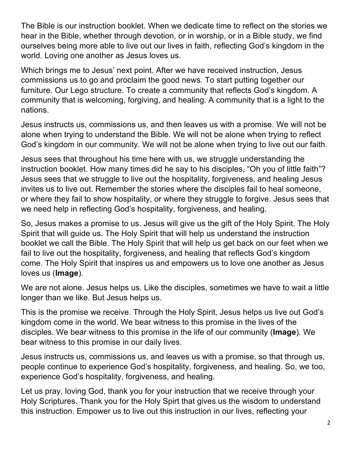The Bible is our instruction booklet. When we dedicate time to reflect on the stories we hear in the Bible, whether through devotion, or in worship, or in a Bible study, we find ourselves being more able to live out our lives in faith, reflecting God's kingdom in the world. Loving one another as Jesus loves us.

Which brings me to Jesus' next point. After we have received instruction, Jesus commissions us to go and proclaim the good news. To start putting together our furniture. Our Lego structure. To create a community that reflects God's kingdom. A community that is welcoming, forgiving, and healing. A community that is a light to the nations.

Jesus instructs us, commissions us, and then leaves us with a promise. We will not be alone when trying to understand the Bible. We will not be alone when trying to reflect God's kingdom in our community. We will not be alone when trying to live out our faith.

Jesus sees that throughout his time here with us, we struggle understanding the instruction booklet. How many times did he say to his disciples, "Oh you of little faith"? Jesus sees that we struggle to live out the hospitality, forgiveness, and healing Jesus invites us to live out. Remember the stories where the disciples fail to heal someone, or where they fail to show hospitality, or where they struggle to forgive. Jesus sees that we need help in reflecting God's hospitality, forgiveness, and healing.

So, Jesus makes a promise to us. Jesus will give us the gift of the Holy Spirit. The Holy Spirit that will guide us. The Holy Spirit that will help us understand the instruction booklet we call the Bible. The Holy Spirit that will help us get back on our feet when we fail to live out the hospitality, forgiveness, and healing that reflects God's kingdom come. The Holy Spirit that inspires us and empowers us to love one another as Jesus loves us (**Image**).

We are not alone. Jesus helps us. Like the disciples, sometimes we have to wait a little longer than we like. But Jesus helps us.

This is the promise we receive. Through the Holy Spirit, Jesus helps us live out God's kingdom come in the world. We bear witness to this promise in the lives of the disciples. We bear witness to this promise in the life of our community (**Image**). We bear witness to this promise in our daily lives.

Jesus instructs us, commissions us, and leaves us with a promise, so that through us, people continue to experience God's hospitality, forgiveness, and healing. So, we too, experience God's hospitality, forgiveness, and healing.

Let us pray, loving God, thank you for your instruction that we receive through your Holy Scriptures. Thank you for the Holy Spirt that gives us the wisdom to understand this instruction. Empower us to live out this instruction in our lives, reflecting your